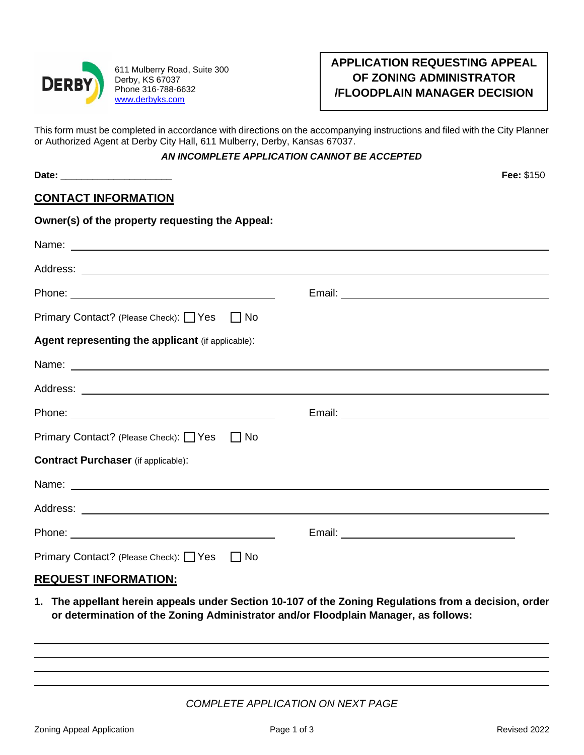

611 Mulberry Road, Suite 300 Derby, KS 67037 Phone 316-788-6632 [www.derbyks.com](http://www.derbyks.com/)

**Owner(s) of the property requesting the Appeal:** 

# **APPLICATION REQUESTING APPEAL OF ZONING ADMINISTRATOR /FLOODPLAIN MANAGER DECISION**

This form must be completed in accordance with directions on the accompanying instructions and filed with the City Planner or Authorized Agent at Derby City Hall, 611 Mulberry, Derby, Kansas 67037.

#### *AN INCOMPLETE APPLICATION CANNOT BE ACCEPTED*

**Date:** \_\_\_\_\_\_\_\_\_\_\_\_\_\_\_\_\_\_\_\_\_ **Fee:** \$150

## **CONTACT INFORMATION**

| omiono, or the property requesting the Appear.                                                                                                                                                                                |  |
|-------------------------------------------------------------------------------------------------------------------------------------------------------------------------------------------------------------------------------|--|
| Name: Name:                                                                                                                                                                                                                   |  |
|                                                                                                                                                                                                                               |  |
|                                                                                                                                                                                                                               |  |
| Primary Contact? (Please Check): □ Yes □ No                                                                                                                                                                                   |  |
| Agent representing the applicant (if applicable):                                                                                                                                                                             |  |
| Name: Name: Name: Name: Name: Name: Name: Name: Name: Name: Name: Name: Name: Name: Name: Name: Name: Name: Name: Name: Name: Name: Name: Name: Name: Name: Name: Name: Name: Name: Name: Name: Name: Name: Name: Name: Name: |  |
|                                                                                                                                                                                                                               |  |
|                                                                                                                                                                                                                               |  |
| Primary Contact? (Please Check): □ Yes □ No                                                                                                                                                                                   |  |
| <b>Contract Purchaser</b> (if applicable):                                                                                                                                                                                    |  |
| Name: Name:                                                                                                                                                                                                                   |  |
|                                                                                                                                                                                                                               |  |
|                                                                                                                                                                                                                               |  |
| Primary Contact? (Please Check): □ Yes □ No                                                                                                                                                                                   |  |
| BEAUFAT INFABULATIAN                                                                                                                                                                                                          |  |

### **REQUEST INFORMATION:**

**1. The appellant herein appeals under Section 10-107 of the Zoning Regulations from a decision, order or determination of the Zoning Administrator and/or Floodplain Manager, as follows:**

*COMPLETE APPLICATION ON NEXT PAGE*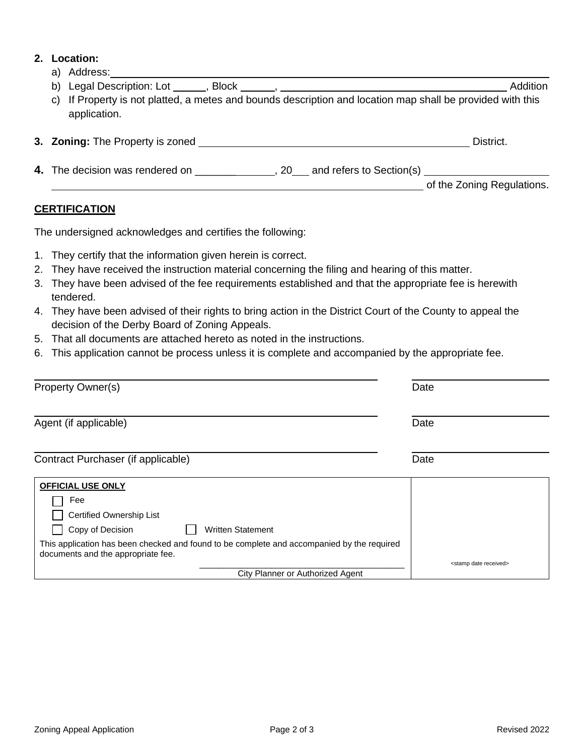#### **2. Location:**

a) Address:

| C)<br>application.               | If Property is not platted, a metes and bounds description and location map shall be provided with this | Addition                   |
|----------------------------------|---------------------------------------------------------------------------------------------------------|----------------------------|
| 3. Zoning: The Property is zoned |                                                                                                         | District.                  |
| 4. The decision was rendered on  | and refers to Section(s)<br>20                                                                          |                            |
|                                  |                                                                                                         | of the Zoning Regulations. |

### **CERTIFICATION**

The undersigned acknowledges and certifies the following:

- 1. They certify that the information given herein is correct.
- 2. They have received the instruction material concerning the filing and hearing of this matter.
- 3. They have been advised of the fee requirements established and that the appropriate fee is herewith tendered.
- 4. They have been advised of their rights to bring action in the District Court of the County to appeal the decision of the Derby Board of Zoning Appeals.
- 5. That all documents are attached hereto as noted in the instructions.
- 6. This application cannot be process unless it is complete and accompanied by the appropriate fee.

| <b>Property Owner(s)</b>                                                                                                                                                                                                                        | Date                                |
|-------------------------------------------------------------------------------------------------------------------------------------------------------------------------------------------------------------------------------------------------|-------------------------------------|
| Agent (if applicable)                                                                                                                                                                                                                           | Date                                |
| Contract Purchaser (if applicable)                                                                                                                                                                                                              | Date                                |
| <b>OFFICIAL USE ONLY</b><br>Fee<br>Certified Ownership List<br>Copy of Decision<br><b>Written Statement</b><br>This application has been checked and found to be complete and accompanied by the required<br>documents and the appropriate fee. |                                     |
| City Planner or Authorized Agent                                                                                                                                                                                                                | <stamp date="" received=""></stamp> |